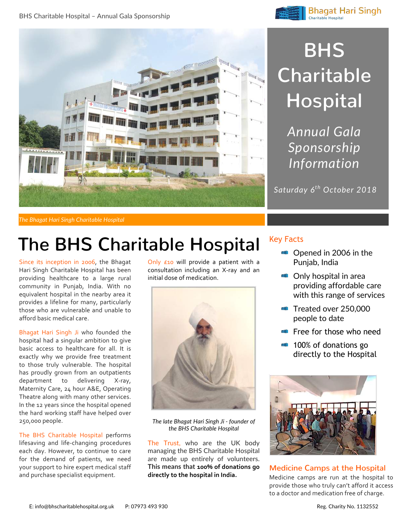





## **BHS Charitable Hospital**

*Annual Gala Sponsorship Information*

*Saturday 6th October 2018*

*The Bhagat Hari Singh Charitable Hospital*

### **The BHS Charitable Hospital**

Since its inception in 2006, the Bhagat Hari Singh Charitable Hospital has been providing healthcare to a large rural community in Punjab, India. With no equivalent hospital in the nearby area it provides a lifeline for many, particularly those who are vulnerable and unable to afford basic medical care.

Bhagat Hari Singh Ji who founded the hospital had a singular ambition to give basic access to healthcare for all. It is exactly why we provide free treatment to those truly vulnerable. The hospital has proudly grown from an outpatients department to delivering X-ray, Maternity Care, 24 hour A&E, Operating Theatre along with many other services. In the 12 years since the hospital opened the hard working staff have helped over 250,000 people.

The BHS Charitable Hospital performs lifesaving and life-changing procedures each day. However, to continue to care for the demand of patients, we need your support to hire expert medical staff and purchase specialist equipment.

Only £10 will provide a patient with a consultation including an X-ray and an initial dose of medication.



*The late Bhagat Hari Singh Ji - founder of the BHS Charitable Hospital*

The Trust, who are the UK body managing the BHS Charitable Hospital are made up entirely of volunteers. **This means that 100% of donations go directly to the hospital in India.**

#### Key Facts

- **Opened in 2006 in the** Punjab, India
- **Only hospital in area** providing affordable care with this range of services
- Treated over 250,000 people to date
- Free for those who need
- **100% of donations go** directly to the Hospital



**Medicine Camps at the Hospital** Medicine camps are run at the hospital to provide those who truly can't afford it access to a doctor and medication free of charge.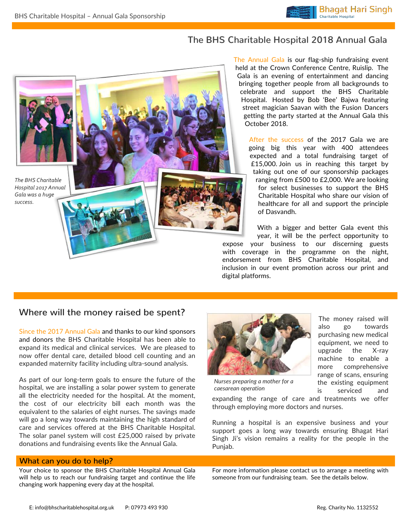### **The BHS Charitable Hospital 2018 Annual Gala**

*The BHS Charitable Hospital 2017 Annual Gala was a huge success.*

The Annual Gala is our flag-ship fundraising event held at the Crown Conference Centre, Ruislip. The Gala is an evening of entertainment and dancing bringing together people from all backgrounds to celebrate and support the BHS Charitable Hospital. Hosted by Bob 'Bee' Bajwa featuring street magician Saavan with the Fusion Dancers getting the party started at the Annual Gala this October 2018.

After the success of the 2017 Gala we are going big this year with 400 attendees expected and a total fundraising target of £15,000. Join us in reaching this target by taking out one of our sponsorship packages ranging from £500 to £2,000. We are looking for select businesses to support the BHS Charitable Hospital who share our vision of healthcare for all and support the principle of Dasvandh.

With a bigger and better Gala event this year, it will be the perfect opportunity to expose your business to our discerning guests with coverage in the programme on the night, endorsement from BHS Charitable Hospital, and inclusion in our event promotion across our print and digital platforms.

### **Where will the money raised be spent?**

Since the 2017 Annual Gala and thanks to our kind sponsors and donors the BHS Charitable Hospital has been able to expand its medical and clinical services. We are pleased to now offer dental care, detailed blood cell counting and an expanded maternity facility including ultra-sound analysis.

As part of our long-term goals to ensure the future of the hospital, we are installing a solar power system to generate all the electricity needed for the hospital. At the moment, the cost of our electricity bill each month was the equivalent to the salaries of eight nurses. The savings made will go a long way towards maintaining the high standard of care and services offered at the BHS Charitable Hospital. The solar panel system will cost £25,000 raised by private donations and fundraising events like the Annual Gala.

#### **What can you do to help?**

Your choice to sponsor the BHS Charitable Hospital Annual Gala will help us to reach our fundraising target and continue the life changing work happening every day at the hospital.



*Nurses preparing a mother for a caesarean operation*

expanding the range of care and treatments we offer through employing more doctors and nurses.

Running a hospital is an expensive business and your support goes a long way towards ensuring Bhagat Hari Singh Ji's vision remains a reality for the people in the Punjab.

For more information please contact us to arrange a meeting with someone from our fundraising team. See the details below.

The money raised will also go towards purchasing new medical equipment, we need to upgrade the X-ray machine to enable a more comprehensive range of scans, ensuring the existing equipment is serviced and